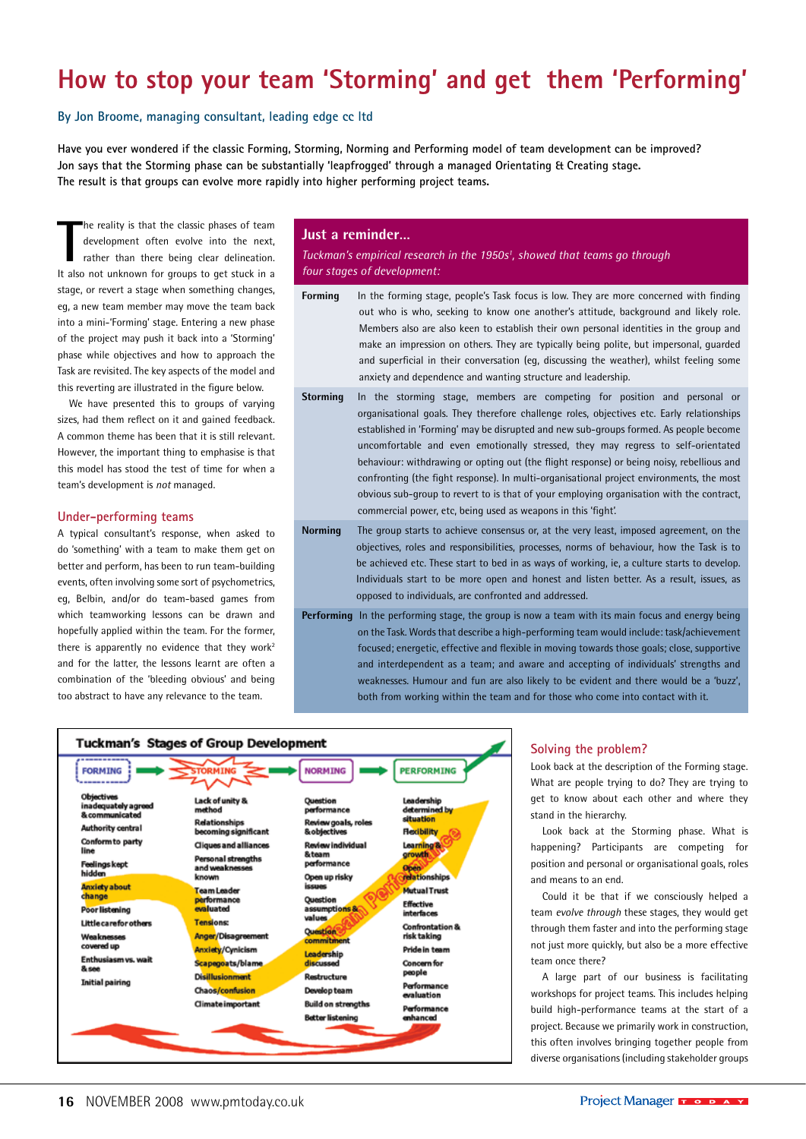# **How to stop your team 'Storming' and get them 'Performing'**

## **By Jon Broome, managing consultant, leading edge cc ltd**

**Have you ever wondered if the classic Forming, Storming, Norming and Performing model of team development can be improved? Jon says that the Storming phase can be substantially 'leapfrogged' through a managed Orientating & Creating stage. The result is that groups can evolve more rapidly into higher performing project teams.**

The reality is that the classic phases of team<br>
development often evolve into the next,<br>
rather than there being clear delineation.<br>
It also not unknown for groups to get stuck in a he reality is that the classic phases of team development often evolve into the next, rather than there being clear delineation. stage, or revert a stage when something changes, eg, a new team member may move the team back into a mini-'Forming' stage. Entering a new phase of the project may push it back into a 'Storming' phase while objectives and how to approach the Task are revisited. The key aspects of the model and this reverting are illustrated in the figure below.

We have presented this to groups of varying sizes, had them reflect on it and gained feedback. A common theme has been that it is still relevant. However, the important thing to emphasise is that this model has stood the test of time for when a team's development is *not* managed.

#### **Under-performing teams**

A typical consultant's response, when asked to do 'something' with a team to make them get on better and perform, has been to run team-building events, often involving some sort of psychometrics, eg, Belbin, and/or do team-based games from which teamworking lessons can be drawn and hopefully applied within the team. For the former, there is apparently no evidence that they work<sup>2</sup> and for the latter, the lessons learnt are often a combination of the 'bleeding obvious' and being too abstract to have any relevance to the team.

#### **Just a reminder…**

*Tuckman's empirical research in the 1950s1 , showed that teams go through four stages of development:*

- **Forming** In the forming stage, people's Task focus is low. They are more concerned with finding out who is who, seeking to know one another's attitude, background and likely role. Members also are also keen to establish their own personal identities in the group and make an impression on others. They are typically being polite, but impersonal, guarded and superficial in their conversation (eg, discussing the weather), whilst feeling some anxiety and dependence and wanting structure and leadership.
- **Storming** In the storming stage, members are competing for position and personal or organisational goals. They therefore challenge roles, objectives etc. Early relationships established in 'Forming' may be disrupted and new sub-groups formed. As people become uncomfortable and even emotionally stressed, they may regress to self-orientated behaviour: withdrawing or opting out (the flight response) or being noisy, rebellious and confronting (the fight response). In multi-organisational project environments, the most obvious sub-group to revert to is that of your employing organisation with the contract, commercial power, etc, being used as weapons in this 'fight'.
- **Norming** The group starts to achieve consensus or, at the very least, imposed agreement, on the objectives, roles and responsibilities, processes, norms of behaviour, how the Task is to be achieved etc. These start to bed in as ways of working, ie, a culture starts to develop. Individuals start to be more open and honest and listen better. As a result, issues, as opposed to individuals, are confronted and addressed.
- **Performing** In the performing stage, the group is now a team with its main focus and energy being on the Task. Words that describe a high-performing team would include: task/achievement focused; energetic, effective and flexible in moving towards those goals; close, supportive and interdependent as a team; and aware and accepting of individuals' strengths and weaknesses. Humour and fun are also likely to be evident and there would be a 'buzz', both from working within the team and for those who come into contact with it.



#### **Solving the problem?**

Look back at the description of the Forming stage. What are people trying to do? They are trying to get to know about each other and where they stand in the hierarchy.

Look back at the Storming phase. What is happening? Participants are competing for position and personal or organisational goals, roles and means to an end.

Could it be that if we consciously helped a team *evolve through* these stages, they would get through them faster and into the performing stage not just more quickly, but also be a more effective team once there?

A large part of our business is facilitating workshops for project teams. This includes helping build high-performance teams at the start of a project. Because we primarily work in construction, this often involves bringing together people from diverse organisations (including stakeholder groups